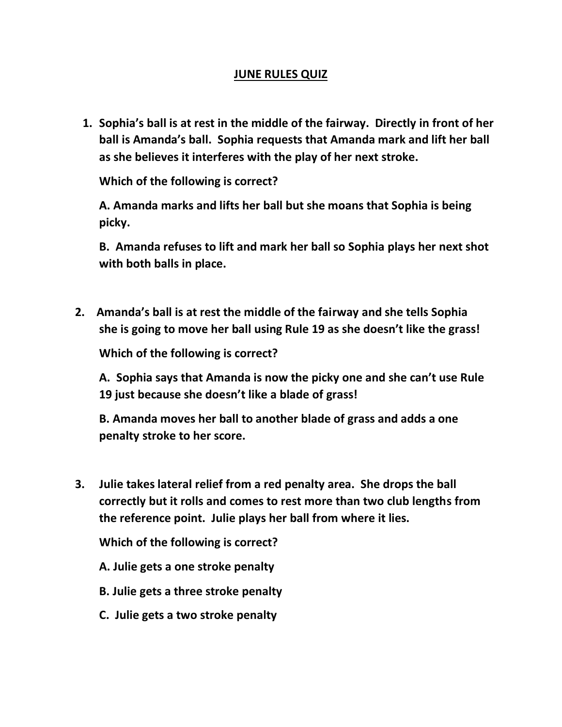## **JUNE RULES QUIZ**

**1. Sophia's ball is at rest in the middle of the fairway. Directly in front of her ball is Amanda's ball. Sophia requests that Amanda mark and lift her ball as she believes it interferes with the play of her next stroke.**

**Which of the following is correct?**

**A. Amanda marks and lifts her ball but she moans that Sophia is being picky.**

**B. Amanda refuses to lift and mark her ball so Sophia plays her next shot with both balls in place.**

 **2. Amanda's ball is at rest the middle of the fairway and she tells Sophia she is going to move her ball using Rule 19 as she doesn't like the grass!** 

**Which of the following is correct?**

**A. Sophia says that Amanda is now the picky one and she can't use Rule 19 just because she doesn't like a blade of grass!**

**B. Amanda moves her ball to another blade of grass and adds a one penalty stroke to her score.**

 **3. Julie takes lateral relief from a red penalty area. She drops the ball correctly but it rolls and comes to rest more than two club lengths from the reference point. Julie plays her ball from where it lies.** 

**Which of the following is correct?**

- **A. Julie gets a one stroke penalty**
- **B. Julie gets a three stroke penalty**
- **C. Julie gets a two stroke penalty**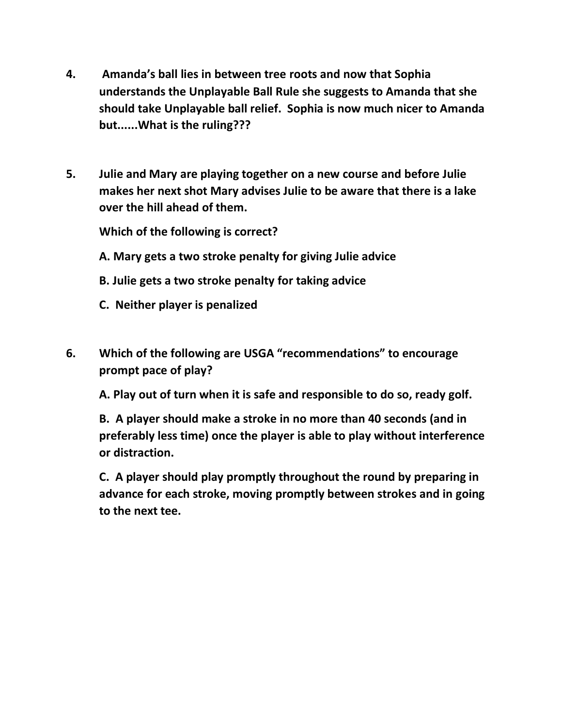- **4. Amanda's ball lies in between tree roots and now that Sophia understands the Unplayable Ball Rule she suggests to Amanda that she should take Unplayable ball relief. Sophia is now much nicer to Amanda but......What is the ruling???**
- **5. Julie and Mary are playing together on a new course and before Julie makes her next shot Mary advises Julie to be aware that there is a lake over the hill ahead of them.**

**Which of the following is correct?**

- **A. Mary gets a two stroke penalty for giving Julie advice**
- **B. Julie gets a two stroke penalty for taking advice**
- **C. Neither player is penalized**
- **6. Which of the following are USGA "recommendations" to encourage prompt pace of play?**

**A. Play out of turn when it is safe and responsible to do so, ready golf.**

**B. A player should make a stroke in no more than 40 seconds (and in preferably less time) once the player is able to play without interference or distraction.**

**C. A player should play promptly throughout the round by preparing in advance for each stroke, moving promptly between strokes and in going to the next tee.**